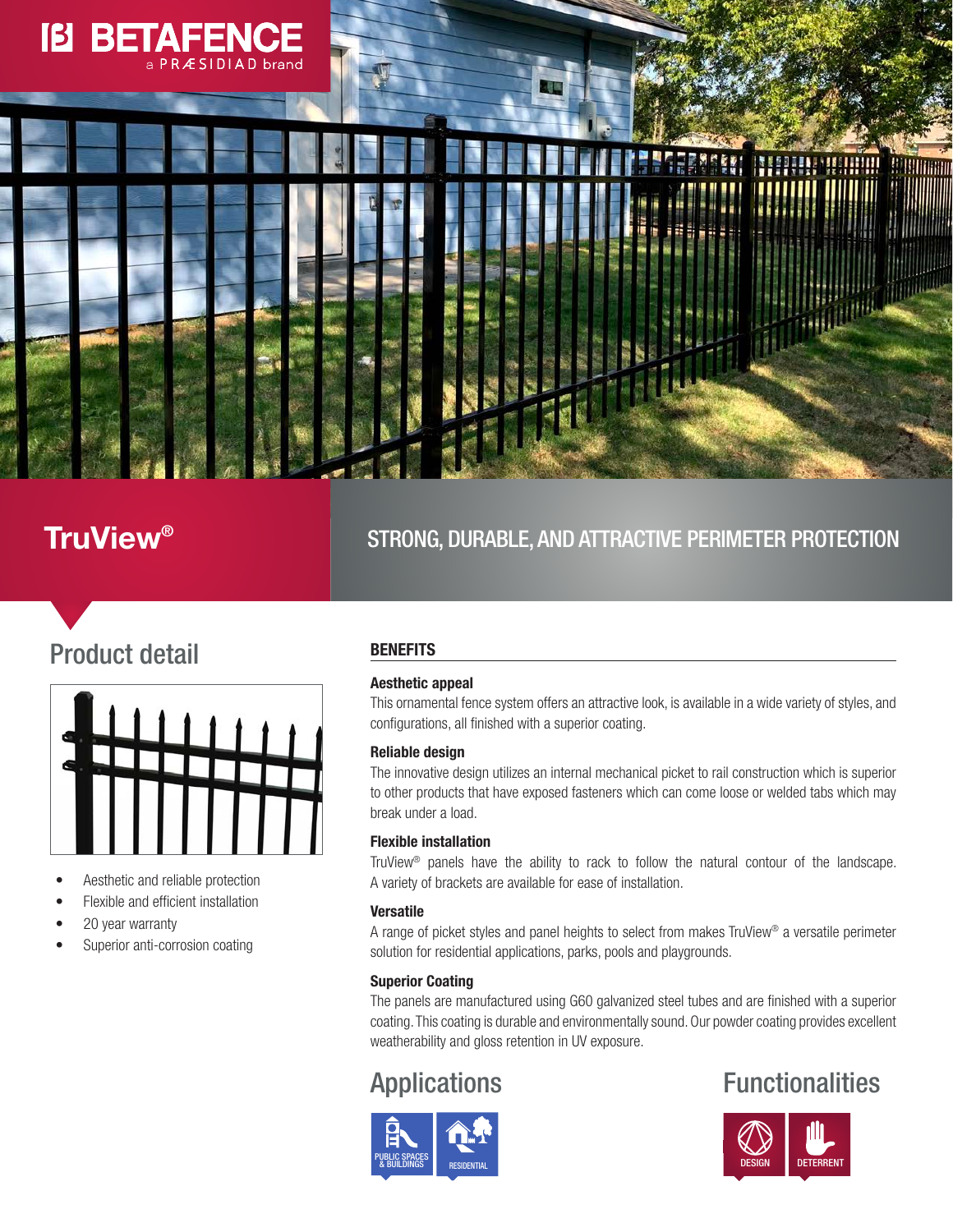

## **TruView®** STRONG, DURABLE, AND ATTRACTIVE PERIMETER PROTECTION

# Product detail



- Aesthetic and reliable protection
- Flexible and efficient installation
- 20 year warranty
- Superior anti-corrosion coating

### **BENEFITS**

### Aesthetic appeal

This ornamental fence system offers an attractive look, is available in a wide variety of styles, and configurations, all finished with a superior coating.

### Reliable design

The innovative design utilizes an internal mechanical picket to rail construction which is superior to other products that have exposed fasteners which can come loose or welded tabs which may break under a load.

### Flexible installation

TruView® panels have the ability to rack to follow the natural contour of the landscape. A variety of brackets are available for ease of installation.

### Versatile

A range of picket styles and panel heights to select from makes TruView® a versatile perimeter solution for residential applications, parks, pools and playgrounds.

### Superior Coating

The panels are manufactured using G60 galvanized steel tubes and are finished with a superior coating. This coating is durable and environmentally sound. Our powder coating provides excellent weatherability and gloss retention in UV exposure.



## Applications **Functionalities**